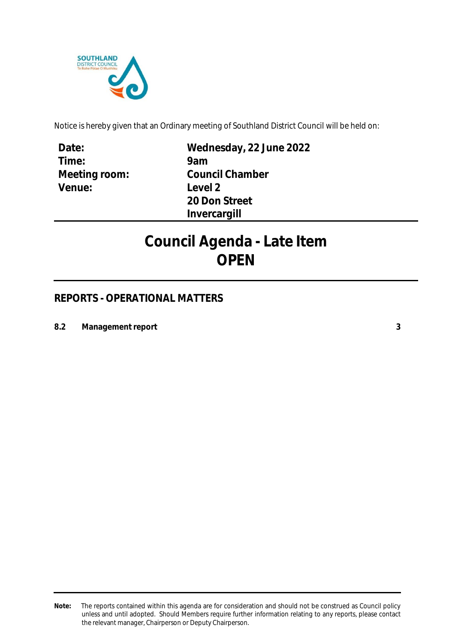

Notice is hereby given that an Ordinary meeting of Southland District Council will be held on:

**Date: Time: Meeting room: Venue:**

**Wednesday, 22 June 2022 9am Council Chamber Level 2 20 Don Street Invercargill**

# **Council Agenda - Late Item OPEN**

# **REPORTS - OPERATIONAL MATTERS**

**8.2 Management report [3](#page-2-0)**

**Note:** The reports contained within this agenda are for consideration and should not be construed as Council policy unless and until adopted. Should Members require further information relating to any reports, please contact the relevant manager, Chairperson or Deputy Chairperson.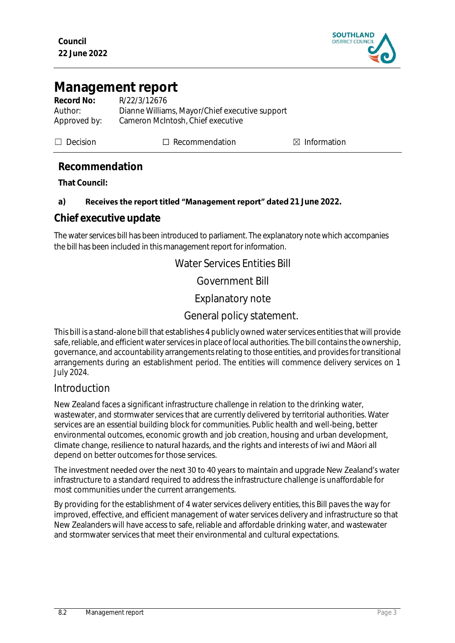

# <span id="page-2-0"></span>**Management report**

| Record No:   | R/22/3/12676                                   |
|--------------|------------------------------------------------|
| Author:      | Dianne Williams, Mayor/Chief executive support |
| Approved by: | Cameron McIntosh, Chief executive              |

☐ Decision ☐ Recommendation ☒ Information

# **Recommendation**

**That Council:**

### a) **Receives the report titled "Management report" dated 21 June 2022.**

# **Chief executive update**

The water services bill has been introduced to parliament. The explanatory note which accompanies the bill has been included in this management report for information.

Water Services Entities Bill

Government Bill

Explanatory note

# General policy statement.

This bill is a stand-alone bill that establishes 4 publicly owned water services entities that will provide safe, reliable, and efficient water services in place of local authorities. The bill contains the ownership, governance, and accountability arrangements relating to those entities, and provides for transitional arrangements during an establishment period. The entities will commence delivery services on 1 July 2024.

### Introduction

New Zealand faces a significant infrastructure challenge in relation to the drinking water, wastewater, and stormwater services that are currently delivered by territorial authorities. Water services are an essential building block for communities. Public health and well-being, better environmental outcomes, economic growth and job creation, housing and urban development, climate change, resilience to natural hazards, and the rights and interests of iwi and Māori all depend on better outcomes for those services.

The investment needed over the next 30 to 40 years to maintain and upgrade New Zealand's water infrastructure to a standard required to address the infrastructure challenge is unaffordable for most communities under the current arrangements.

By providing for the establishment of 4 water services delivery entities, this Bill paves the way for improved, effective, and efficient management of water services delivery and infrastructure so that New Zealanders will have access to safe, reliable and affordable drinking water, and wastewater and stormwater services that meet their environmental and cultural expectations.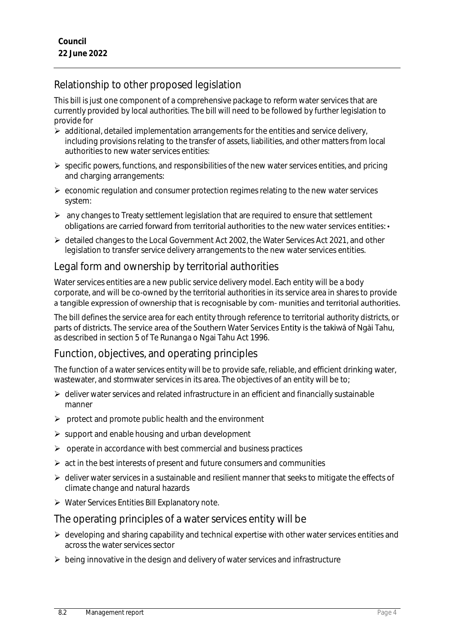# Relationship to other proposed legislation

This bill is just one component of a comprehensive package to reform water services that are currently provided by local authorities. The bill will need to be followed by further legislation to provide for

- $\triangleright$  additional, detailed implementation arrangements for the entities and service delivery, including provisions relating to the transfer of assets, liabilities, and other matters from local authorities to new water services entities:
- $\triangleright$  specific powers, functions, and responsibilities of the new water services entities, and pricing and charging arrangements:
- $\triangleright$  economic regulation and consumer protection regimes relating to the new water services system:
- $\triangleright$  any changes to Treaty settlement legislation that are required to ensure that settlement obligations are carried forward from territorial authorities to the new water services entities: •
- detailed changes to the Local Government Act 2002, the Water Services Act 2021, and other legislation to transfer service delivery arrangements to the new water services entities.

# Legal form and ownership by territorial authorities

Water services entities are a new public service delivery model. Each entity will be a body corporate, and will be co-owned by the territorial authorities in its service area in shares to provide a tangible expression of ownership that is recognisable by com-munities and territorial authorities.

The bill defines the service area for each entity through reference to territorial authority districts, or parts of districts. The service area of the Southern Water Services Entity is the takiwa of Ngai Tahu, as described in section 5 of Te Runanga o Ngai Tahu Act 1996.

# Function, objectives, and operating principles

The function of a water services entity will be to provide safe, reliable, and efficient drinking water, wastewater, and stormwater services in its area. The objectives of an entity will be to;

- $\triangleright$  deliver water services and related infrastructure in an efficient and financially sustainable manner
- $\triangleright$  protect and promote public health and the environment
- $\triangleright$  support and enable housing and urban development
- $\triangleright$  operate in accordance with best commercial and business practices
- $\triangleright$  act in the best interests of present and future consumers and communities
- $\triangleright$  deliver water services in a sustainable and resilient manner that seeks to mitigate the effects of climate change and natural hazards
- $\triangleright$  Water Services Entities Bill Explanatory note.

### The operating principles of a water services entity will be

- $\triangleright$  developing and sharing capability and technical expertise with other water services entities and across the water services sector
- $\triangleright$  being innovative in the design and delivery of water services and infrastructure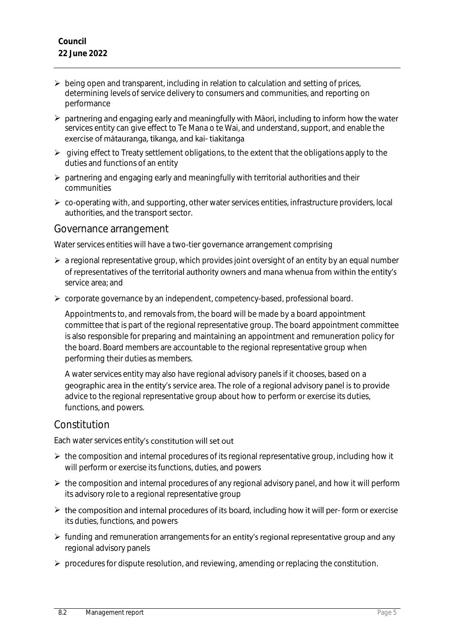- $\triangleright$  being open and transparent, including in relation to calculation and setting of prices, determining levels of service delivery to consumers and communities, and reporting on performance
- $\triangleright$  partnering and engaging early and meaningfully with Māori, including to inform how the water services entity can give effect to Te Mana o te Wai, and understand, support, and enable the exercise of mātauranga, tikanga, and kai- tiakitanga
- $\triangleright$  giving effect to Treaty settlement obligations, to the extent that the obligations apply to the duties and functions of an entity
- $\triangleright$  partnering and engaging early and meaningfully with territorial authorities and their communities
- $\triangleright$  co-operating with, and supporting, other water services entities, infrastructure providers, local authorities, and the transport sector.

### Governance arrangement

Water services entities will have a two-tier governance arrangement comprising

- $\triangleright$  a regional representative group, which provides joint oversight of an entity by an equal number of representatives of the territorial authority owners and mana whenua from within the entity's service area; and
- $\triangleright$  corporate governance by an independent, competency-based, professional board.

Appointments to, and removals from, the board will be made by a board appointment committee that is part of the regional representative group. The board appointment committee is also responsible for preparing and maintaining an appointment and remuneration policy for the board. Board members are accountable to the regional representative group when performing their duties as members.

A water services entity may also have regional advisory panels if it chooses, based on a geographic area in the entity's service area. The role of a regional advisory panel is to provide advice to the regional representative group about how to perform or exercise its duties, functions, and powers.

# Constitution

Each water services entity's constitution will set out

- $\triangleright$  the composition and internal procedures of its regional representative group, including how it will perform or exercise its functions, duties, and powers
- $\triangleright$  the composition and internal procedures of any regional advisory panel, and how it will perform its advisory role to a regional representative group
- > the composition and internal procedures of its board, including how it will per-form or exercise its duties, functions, and powers
- $\triangleright$  funding and remuneration arrangements for an entity's regional representative group and any regional advisory panels
- $\triangleright$  procedures for dispute resolution, and reviewing, amending or replacing the constitution.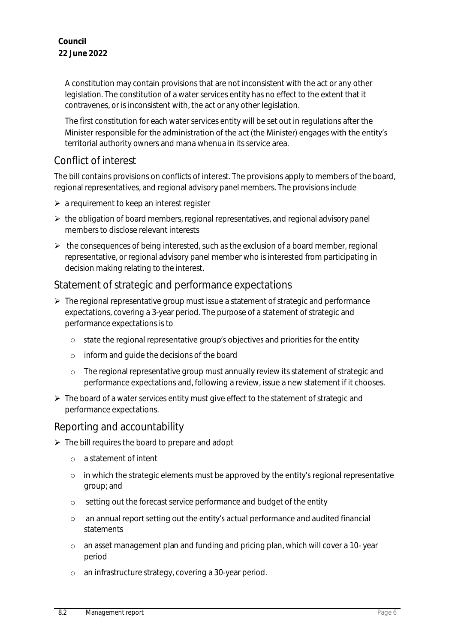A constitution may contain provisions that are not inconsistent with the act or any other legislation. The constitution of a water services entity has no effect to the extent that it contravenes, or is inconsistent with, the act or any other legislation.

The first constitution for each water services entity will be set out in regulations after the Minister responsible for the administration of the act (the Minister) engages with the entity's territorial authority owners and mana whenua in its service area.

# Conflict of interest

The bill contains provisions on conflicts of interest. The provisions apply to members of the board, regional representatives, and regional advisory panel members. The provisions include

- $\triangleright$  a requirement to keep an interest register
- $\triangleright$  the obligation of board members, regional representatives, and regional advisory panel members to disclose relevant interests
- $\triangleright$  the consequences of being interested, such as the exclusion of a board member, regional representative, or regional advisory panel member who is interested from participating in decision making relating to the interest.

# Statement of strategic and performance expectations

- $\triangleright$  The regional representative group must issue a statement of strategic and performance expectations, covering a 3-year period. The purpose of a statement of strategic and performance expectations is to
	- o state the regional representative group's objectives and priorities for the entity
	- o inform and guide the decisions of the board
	- o The regional representative group must annually review its statement of strategic and performance expectations and, following a review, issue a new statement if it chooses.
- $\triangleright$  The board of a water services entity must give effect to the statement of strategic and performance expectations.

# Reporting and accountability

- $\triangleright$  The bill requires the board to prepare and adopt
	- o a statement of intent
	- o in which the strategic elements must be approved by the entity's regional representative group; and
	- o setting out the forecast service performance and budget of the entity
	- an annual report setting out the entity's actual performance and audited financial  $\cap$ statements
	- o an asset management plan and funding and pricing plan, which will cover a 10- year period
	- o an infrastructure strategy, covering a 30-year period.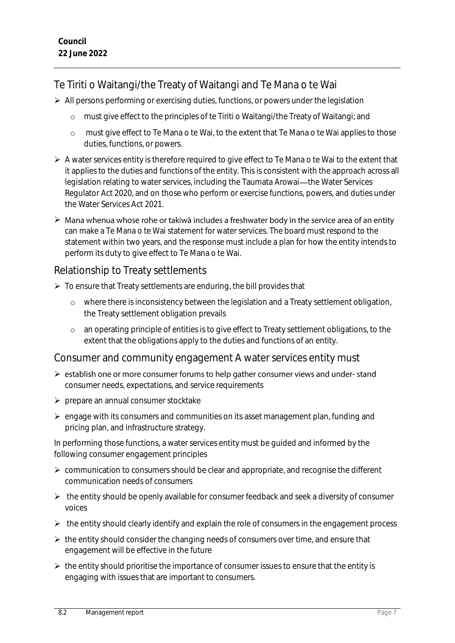# Te Tiriti o Waitangi/the Treaty of Waitangi and Te Mana o te Wai

- $\triangleright$  All persons performing or exercising duties, functions, or powers under the legislation
	- o must give effect to the principles of te Tiriti o Waitangi/the Treaty of Waitangi; and
	- o must give effect to Te Mana o te Wai, to the extent that Te Mana o te Wai applies to those duties, functions, or powers.
- $\triangleright$  A water services entity is therefore required to give effect to Te Mana o te Wai to the extent that it applies to the duties and functions of the entity. This is consistent with the approach across all legislation relating to water services, including the Taumata Arowai-the Water Services Regulator Act 2020, and on those who perform or exercise functions, powers, and duties under the Water Services Act 2021.
- $\triangleright$  Mana whenua whose rohe or takiwa includes a freshwater body in the service area of an entity can make a Te Mana o te Wai statement for water services. The board must respond to the statement within two years, and the response must include a plan for how the entity intends to perform its duty to give effect to Te Mana o te Wai.

# Relationship to Treaty settlements

- $\triangleright$  To ensure that Treaty settlements are enduring, the bill provides that
	- o where there is inconsistency between the legislation and a Treaty settlement obligation, the Treaty settlement obligation prevails
	- o an operating principle of entities is to give effect to Treaty settlement obligations, to the extent that the obligations apply to the duties and functions of an entity.

# Consumer and community engagement A water services entity must

- $\triangleright$  establish one or more consumer forums to help gather consumer views and under-stand consumer needs, expectations, and service requirements
- $\triangleright$  prepare an annual consumer stocktake
- $\triangleright$  engage with its consumers and communities on its asset management plan, funding and pricing plan, and infrastructure strategy.

In performing those functions, a water services entity must be guided and informed by the following consumer engagement principles

- $\triangleright$  communication to consumers should be clear and appropriate, and recognise the different communication needs of consumers
- $\triangleright$  the entity should be openly available for consumer feedback and seek a diversity of consumer voices
- $\triangleright$  the entity should clearly identify and explain the role of consumers in the engagement process
- $\triangleright$  the entity should consider the changing needs of consumers over time, and ensure that engagement will be effective in the future
- $\triangleright$  the entity should prioritise the importance of consumer issues to ensure that the entity is engaging with issues that are important to consumers.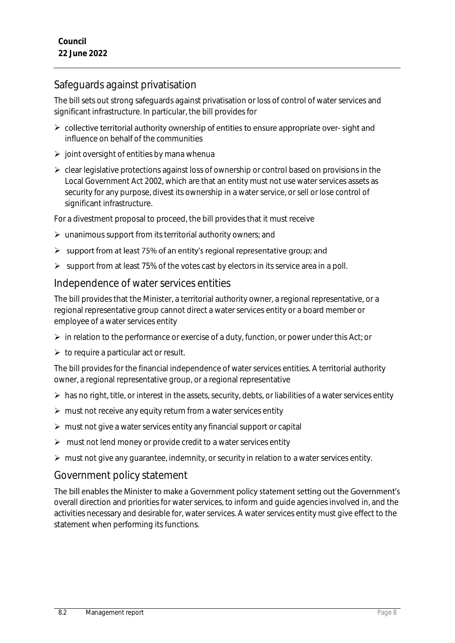# Safeguards against privatisation

The bill sets out strong safeguards against privatisation or loss of control of water services and significant infrastructure. In particular, the bill provides for

- $\triangleright$  collective territorial authority ownership of entities to ensure appropriate over-sight and influence on behalf of the communities
- $\triangleright$  joint oversight of entities by mana whenua
- $\triangleright$  clear legislative protections against loss of ownership or control based on provisions in the Local Government Act 2002, which are that an entity must not use water services assets as security for any purpose, divest its ownership in a water service, or sell or lose control of significant infrastructure.

For a divestment proposal to proceed, the bill provides that it must receive

- $\triangleright$  unanimous support from its territorial authority owners; and
- $\triangleright$  support from at least 75% of an entity's regional representative group; and
- $\triangleright$  support from at least 75% of the votes cast by electors in its service area in a poll.

#### Independence of water services entities

The bill provides that the Minister, a territorial authority owner, a regional representative, or a regional representative group cannot direct a water services entity or a board member or employee of a water services entity

- $\triangleright$  in relation to the performance or exercise of a duty, function, or power under this Act; or
- $\triangleright$  to require a particular act or result.

The bill provides for the financial independence of water services entities. A territorial authority owner, a regional representative group, or a regional representative

- $\triangleright$  has no right, title, or interest in the assets, security, debts, or liabilities of a water services entity
- $\triangleright$  must not receive any equity return from a water services entity
- $\triangleright$  must not give a water services entity any financial support or capital
- $\triangleright$  must not lend money or provide credit to a water services entity
- $\triangleright$  must not give any quarantee, indemnity, or security in relation to a water services entity.

### Government policy statement

The bill enables the Minister to make a Government policy statement setting out the Government's overall direction and priorities for water services, to inform and guide agencies involved in, and the activities necessary and desirable for, water services. A water services entity must give effect to the statement when performing its functions.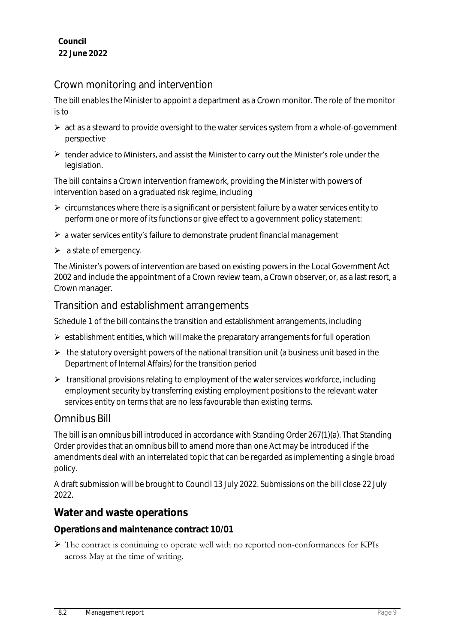# Crown monitoring and intervention

The bill enables the Minister to appoint a department as a Crown monitor. The role of the monitor is to

- $\triangleright$  act as a steward to provide oversight to the water services system from a whole-of-government perspective
- $\triangleright$  tender advice to Ministers, and assist the Minister to carry out the Minister's role under the legislation.

The bill contains a Crown intervention framework, providing the Minister with powers of intervention based on a graduated risk regime, including

- $\triangleright$  circumstances where there is a significant or persistent failure by a water services entity to perform one or more of its functions or give effect to a government policy statement:
- $\triangleright$  a water services entity's failure to demonstrate prudent financial management
- $\triangleright$  a state of emergency.

The Minister's powers of intervention are based on existing powers in the Local Government Act 2002 and include the appointment of a Crown review team, a Crown observer, or, as a last resort, a Crown manager.

# Transition and establishment arrangements

Schedule 1 of the bill contains the transition and establishment arrangements, including

- $\triangleright$  establishment entities, which will make the preparatory arrangements for full operation
- $\triangleright$  the statutory oversight powers of the national transition unit (a business unit based in the Department of Internal Affairs) for the transition period
- **EX** transitional provisions relating to employment of the water services workforce, including employment security by transferring existing employment positions to the relevant water services entity on terms that are no less favourable than existing terms.

# Omnibus Bill

The bill is an omnibus bill introduced in accordance with Standing Order 267(1)(a). That Standing Order provides that an omnibus bill to amend more than one Act may be introduced if the amendments deal with an interrelated topic that can be regarded as implementing a single broad policy.

A draft submission will be brought to Council 13 July 2022. Submissions on the bill close 22 July 2022.

# **Water and waste operations**

**Operations and maintenance contract 10/01**

 The contract is continuing to operate well with no reported non-conformances for KPIs across May at the time of writing.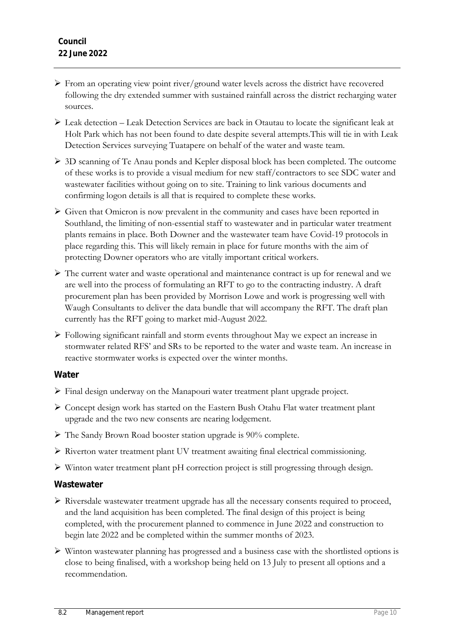- From an operating view point river/ground water levels across the district have recovered following the dry extended summer with sustained rainfall across the district recharging water sources.
- Leak detection Leak Detection Services are back in Otautau to locate the significant leak at Holt Park which has not been found to date despite several attempts.This will tie in with Leak Detection Services surveying Tuatapere on behalf of the water and waste team.
- 3D scanning of Te Anau ponds and Kepler disposal block has been completed. The outcome of these works is to provide a visual medium for new staff/contractors to see SDC water and wastewater facilities without going on to site. Training to link various documents and confirming logon details is all that is required to complete these works.
- $\triangleright$  Given that Omicron is now prevalent in the community and cases have been reported in Southland, the limiting of non-essential staff to wastewater and in particular water treatment plants remains in place. Both Downer and the wastewater team have Covid-19 protocols in place regarding this. This will likely remain in place for future months with the aim of protecting Downer operators who are vitally important critical workers.
- $\triangleright$  The current water and waste operational and maintenance contract is up for renewal and we are well into the process of formulating an RFT to go to the contracting industry. A draft procurement plan has been provided by Morrison Lowe and work is progressing well with Waugh Consultants to deliver the data bundle that will accompany the RFT. The draft plan currently has the RFT going to market mid-August 2022.
- Following significant rainfall and storm events throughout May we expect an increase in stormwater related RFS' and SRs to be reported to the water and waste team. An increase in reactive stormwater works is expected over the winter months.

#### **Water**

- Final design underway on the Manapouri water treatment plant upgrade project.
- Concept design work has started on the Eastern Bush Otahu Flat water treatment plant upgrade and the two new consents are nearing lodgement.
- The Sandy Brown Road booster station upgrade is 90% complete.
- Riverton water treatment plant UV treatment awaiting final electrical commissioning.
- Winton water treatment plant pH correction project is still progressing through design.

#### **Wastewater**

- Riversdale wastewater treatment upgrade has all the necessary consents required to proceed, and the land acquisition has been completed. The final design of this project is being completed, with the procurement planned to commence in June 2022 and construction to begin late 2022 and be completed within the summer months of 2023.
- Winton wastewater planning has progressed and a business case with the shortlisted options is close to being finalised, with a workshop being held on 13 July to present all options and a recommendation.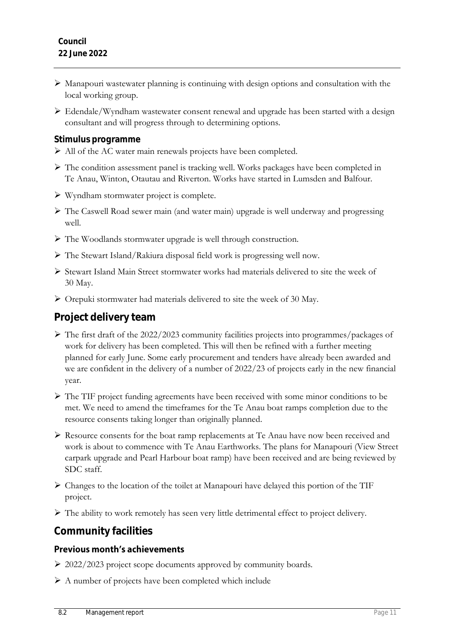- Manapouri wastewater planning is continuing with design options and consultation with the local working group.
- Edendale/Wyndham wastewater consent renewal and upgrade has been started with a design consultant and will progress through to determining options.

#### **Stimulus programme**

- All of the AC water main renewals projects have been completed.
- The condition assessment panel is tracking well. Works packages have been completed in Te Anau, Winton, Otautau and Riverton. Works have started in Lumsden and Balfour.
- Wyndham stormwater project is complete.
- $\triangleright$  The Caswell Road sewer main (and water main) upgrade is well underway and progressing well.
- The Woodlands stormwater upgrade is well through construction.
- The Stewart Island/Rakiura disposal field work is progressing well now.
- Stewart Island Main Street stormwater works had materials delivered to site the week of 30 May.
- Orepuki stormwater had materials delivered to site the week of 30 May.

### **Project delivery team**

- $\triangleright$  The first draft of the 2022/2023 community facilities projects into programmes/packages of work for delivery has been completed. This will then be refined with a further meeting planned for early June. Some early procurement and tenders have already been awarded and we are confident in the delivery of a number of 2022/23 of projects early in the new financial year.
- The TIF project funding agreements have been received with some minor conditions to be met. We need to amend the timeframes for the Te Anau boat ramps completion due to the resource consents taking longer than originally planned.
- Resource consents for the boat ramp replacements at Te Anau have now been received and work is about to commence with Te Anau Earthworks. The plans for Manapouri (View Street carpark upgrade and Pearl Harbour boat ramp) have been received and are being reviewed by SDC staff.
- Changes to the location of the toilet at Manapouri have delayed this portion of the TIF project.
- The ability to work remotely has seen very little detrimental effect to project delivery.

# **Community facilities**

### **Previous month's achievements**

- ▶ 2022/2023 project scope documents approved by community boards.
- $\triangleright$  A number of projects have been completed which include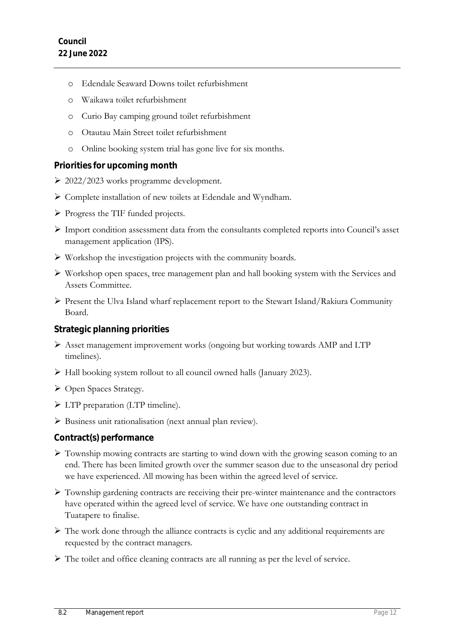- o Edendale Seaward Downs toilet refurbishment
- o Waikawa toilet refurbishment
- o Curio Bay camping ground toilet refurbishment
- o Otautau Main Street toilet refurbishment
- o Online booking system trial has gone live for six months.

#### **Priorities for upcoming month**

- 2022/2023 works programme development.
- $\triangleright$  Complete installation of new toilets at Edendale and Wyndham.
- Progress the TIF funded projects.
- Import condition assessment data from the consultants completed reports into Council's asset management application (IPS).
- $\triangleright$  Workshop the investigation projects with the community boards.
- Workshop open spaces, tree management plan and hall booking system with the Services and Assets Committee.
- Present the Ulva Island wharf replacement report to the Stewart Island/Rakiura Community Board.

#### **Strategic planning priorities**

- $\triangleright$  Asset management improvement works (ongoing but working towards AMP and LTP timelines).
- Hall booking system rollout to all council owned halls (January 2023).
- ▶ Open Spaces Strategy.
- > LTP preparation (LTP timeline).
- Business unit rationalisation (next annual plan review).

#### **Contract(s) performance**

- Township mowing contracts are starting to wind down with the growing season coming to an end. There has been limited growth over the summer season due to the unseasonal dry period we have experienced. All mowing has been within the agreed level of service.
- Township gardening contracts are receiving their pre-winter maintenance and the contractors have operated within the agreed level of service. We have one outstanding contract in Tuatapere to finalise.
- $\triangleright$  The work done through the alliance contracts is cyclic and any additional requirements are requested by the contract managers.
- The toilet and office cleaning contracts are all running as per the level of service.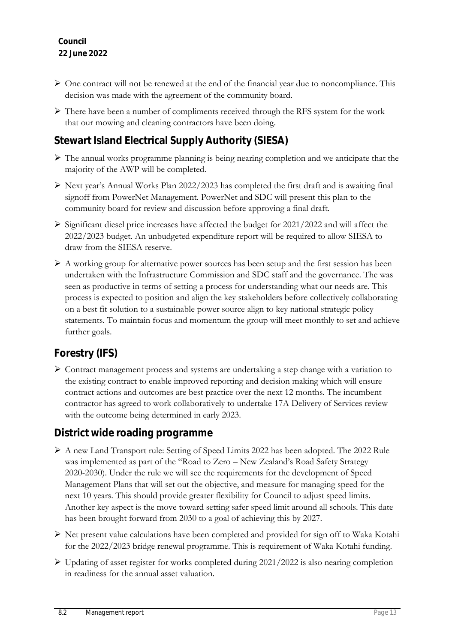- $\triangleright$  One contract will not be renewed at the end of the financial year due to noncompliance. This decision was made with the agreement of the community board.
- There have been a number of compliments received through the RFS system for the work that our mowing and cleaning contractors have been doing.

# **Stewart Island Electrical Supply Authority (SIESA)**

- $\triangleright$  The annual works programme planning is being nearing completion and we anticipate that the majority of the AWP will be completed.
- $\triangleright$  Next year's Annual Works Plan 2022/2023 has completed the first draft and is awaiting final signoff from PowerNet Management. PowerNet and SDC will present this plan to the community board for review and discussion before approving a final draft.
- $\triangleright$  Significant diesel price increases have affected the budget for 2021/2022 and will affect the 2022/2023 budget. An unbudgeted expenditure report will be required to allow SIESA to draw from the SIESA reserve.
- $\triangleright$  A working group for alternative power sources has been setup and the first session has been undertaken with the Infrastructure Commission and SDC staff and the governance. The was seen as productive in terms of setting a process for understanding what our needs are. This process is expected to position and align the key stakeholders before collectively collaborating on a best fit solution to a sustainable power source align to key national strategic policy statements. To maintain focus and momentum the group will meet monthly to set and achieve further goals.

# **Forestry (IFS)**

 Contract management process and systems are undertaking a step change with a variation to the existing contract to enable improved reporting and decision making which will ensure contract actions and outcomes are best practice over the next 12 months. The incumbent contractor has agreed to work collaboratively to undertake 17A Delivery of Services review with the outcome being determined in early 2023.

# **District wide roading programme**

- A new Land Transport rule: Setting of Speed Limits 2022 has been adopted. The 2022 Rule was implemented as part of the "Road to Zero – New Zealand's Road Safety Strategy 2020-2030). Under the rule we will see the requirements for the development of Speed Management Plans that will set out the objective, and measure for managing speed for the next 10 years. This should provide greater flexibility for Council to adjust speed limits. Another key aspect is the move toward setting safer speed limit around all schools. This date has been brought forward from 2030 to a goal of achieving this by 2027.
- $\triangleright$  Net present value calculations have been completed and provided for sign off to Waka Kotahi for the 2022/2023 bridge renewal programme. This is requirement of Waka Kotahi funding.
- $\triangleright$  Updating of asset register for works completed during 2021/2022 is also nearing completion in readiness for the annual asset valuation.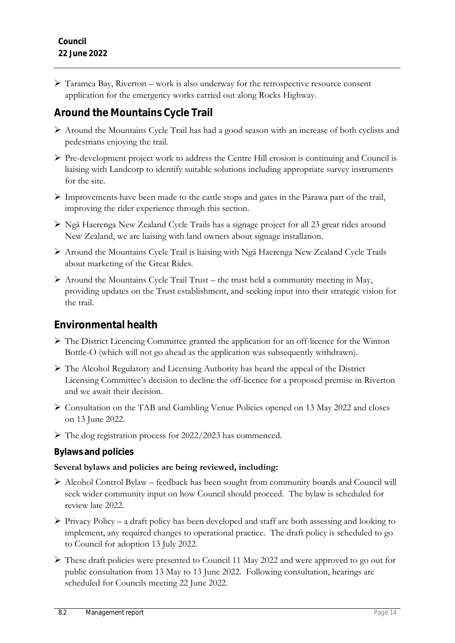$\triangleright$  Taramea Bay, Riverton – work is also underway for the retrospective resource consent application for the emergency works carried out along Rocks Highway.

# **Around the Mountains Cycle Trail**

- Around the Mountains Cycle Trail has had a good season with an increase of both cyclists and pedestrians enjoying the trail.
- $\triangleright$  Pre-development project work to address the Centre Hill erosion is continuing and Council is liaising with Landcorp to identify suitable solutions including appropriate survey instruments for the site.
- $\triangleright$  Improvements have been made to the cattle stops and gates in the Parawa part of the trail, improving the rider experience through this section.
- Ngā Haerenga New Zealand Cycle Trails has a signage project for all 23 great rides around New Zealand, we are liaising with land owners about signage installation.
- Around the Mountains Cycle Trail is liaising with Ngā Haerenga New Zealand Cycle Trails about marketing of the Great Rides.
- $\triangleright$  Around the Mountains Cycle Trail Trust the trust held a community meeting in May, providing updates on the Trust establishment, and seeking input into their strategic vision for the trail.

# **Environmental health**

- The District Licencing Committee granted the application for an off-licence for the Winton Bottle-O (which will not go ahead as the application was subsequently withdrawn).
- The Alcohol Regulatory and Licensing Authority has heard the appeal of the District Licensing Committee's decision to decline the off-licence for a proposed premise in Riverton and we await their decision.
- Consultation on the TAB and Gambling Venue Policies opened on 13 May 2022 and closes on 13 June 2022.
- The dog registration process for 2022/2023 has commenced.

### **Bylaws and policies**

#### **Several bylaws and policies are being reviewed, including:**

- Alcohol Control Bylaw feedback has been sought from community boards and Council will seek wider community input on how Council should proceed. The bylaw is scheduled for review late 2022.
- $\triangleright$  Privacy Policy a draft policy has been developed and staff are both assessing and looking to implement, any required changes to operational practice. The draft policy is scheduled to go to Council for adoption 13 July 2022.
- These draft policies were presented to Council 11 May 2022 and were approved to go out for public consultation from 13 May to 13 June 2022. Following consultation, hearings are scheduled for Councils meeting 22 June 2022.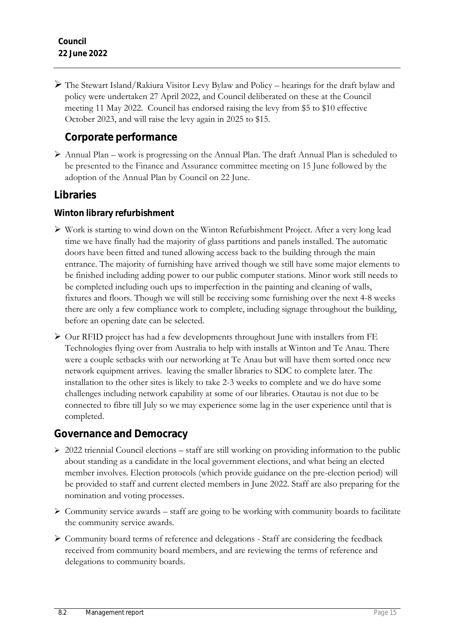The Stewart Island/Rakiura Visitor Levy Bylaw and Policy – hearings for the draft bylaw and policy were undertaken 27 April 2022, and Council deliberated on these at the Council meeting 11 May 2022. Council has endorsed raising the levy from \$5 to \$10 effective October 2023, and will raise the levy again in 2025 to \$15.

# **Corporate performance**

 $\triangleright$  Annual Plan – work is progressing on the Annual Plan. The draft Annual Plan is scheduled to be presented to the Finance and Assurance committee meeting on 15 June followed by the adoption of the Annual Plan by Council on 22 June.

# **Libraries**

**Winton library refurbishment**

- Work is starting to wind down on the Winton Refurbishment Project. After a very long lead time we have finally had the majority of glass partitions and panels installed. The automatic doors have been fitted and tuned allowing access back to the building through the main entrance. The majority of furnishing have arrived though we still have some major elements to be finished including adding power to our public computer stations. Minor work still needs to be completed including ouch ups to imperfection in the painting and cleaning of walls, fixtures and floors. Though we will still be receiving some furnishing over the next 4-8 weeks there are only a few compliance work to complete, including signage throughout the building, before an opening date can be selected.
- $\triangleright$  Our RFID project has had a few developments throughout June with installers from FE Technologies flying over from Australia to help with installs at Winton and Te Anau. There were a couple setbacks with our networking at Te Anau but will have them sorted once new network equipment arrives. leaving the smaller libraries to SDC to complete later. The installation to the other sites is likely to take 2-3 weeks to complete and we do have some challenges including network capability at some of our libraries. Otautau is not due to be connected to fibre till July so we may experience some lag in the user experience until that is completed.

# **Governance and Democracy**

- $\geq$  2022 triennial Council elections staff are still working on providing information to the public about standing as a candidate in the local government elections, and what being an elected member involves. Election protocols (which provide guidance on the pre-election period) will be provided to staff and current elected members in June 2022. Staff are also preparing for the nomination and voting processes.
- $\triangleright$  Community service awards staff are going to be working with community boards to facilitate the community service awards.
- $\triangleright$  Community board terms of reference and delegations Staff are considering the feedback received from community board members, and are reviewing the terms of reference and delegations to community boards.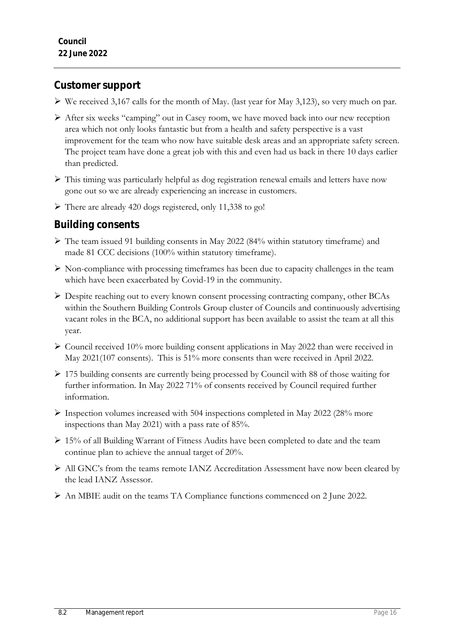### **Customer support**

- $\triangleright$  We received 3,167 calls for the month of May. (last year for May 3,123), so very much on par.
- After six weeks "camping" out in Casey room, we have moved back into our new reception area which not only looks fantastic but from a health and safety perspective is a vast improvement for the team who now have suitable desk areas and an appropriate safety screen. The project team have done a great job with this and even had us back in there 10 days earlier than predicted.
- $\triangleright$  This timing was particularly helpful as dog registration renewal emails and letters have now gone out so we are already experiencing an increase in customers.
- $\triangleright$  There are already 420 dogs registered, only 11,338 to go!

### **Building consents**

- The team issued 91 building consents in May 2022 (84% within statutory timeframe) and made 81 CCC decisions (100% within statutory timeframe).
- $\triangleright$  Non-compliance with processing timeframes has been due to capacity challenges in the team which have been exacerbated by Covid-19 in the community.
- Despite reaching out to every known consent processing contracting company, other BCAs within the Southern Building Controls Group cluster of Councils and continuously advertising vacant roles in the BCA, no additional support has been available to assist the team at all this year.
- $\triangleright$  Council received 10% more building consent applications in May 2022 than were received in May 2021(107 consents). This is 51% more consents than were received in April 2022.
- 175 building consents are currently being processed by Council with 88 of those waiting for further information. In May 2022 71% of consents received by Council required further information.
- $\triangleright$  Inspection volumes increased with 504 inspections completed in May 2022 (28% more inspections than May 2021) with a pass rate of 85%.
- $\geq 15\%$  of all Building Warrant of Fitness Audits have been completed to date and the team continue plan to achieve the annual target of 20%.
- All GNC's from the teams remote IANZ Accreditation Assessment have now been cleared by the lead IANZ Assessor.
- An MBIE audit on the teams TA Compliance functions commenced on 2 June 2022.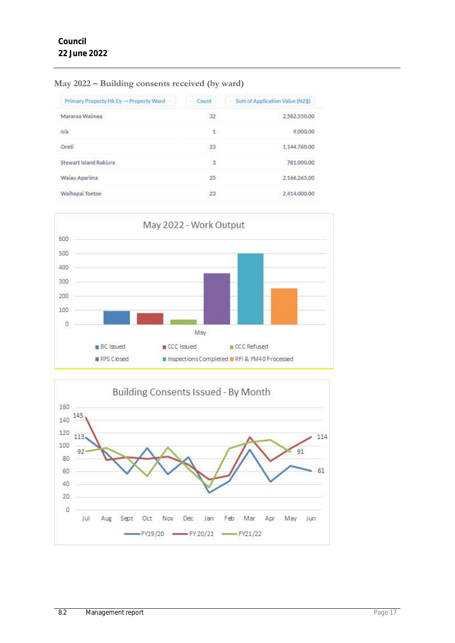| Primary Property Hk Ey → Property Ward | $-$ Count | Sum of Application Value (NZ\$) |
|----------------------------------------|-----------|---------------------------------|
| Mararoa Waimea                         | 32        | 2,582,550.00                    |
| n/a                                    | 1         | 9,000.00                        |
| Oreti                                  | 23        | 1.144.760.00                    |
| Stewart Island Rakiura                 | 3         | 781,000.00                      |
| Waiau Aparima                          | -25       | 2,166,265.00                    |
| Waihopai Toetoe                        | 23        | 2.414,000.00                    |

#### **May 2022 – Building consents received (by ward)**



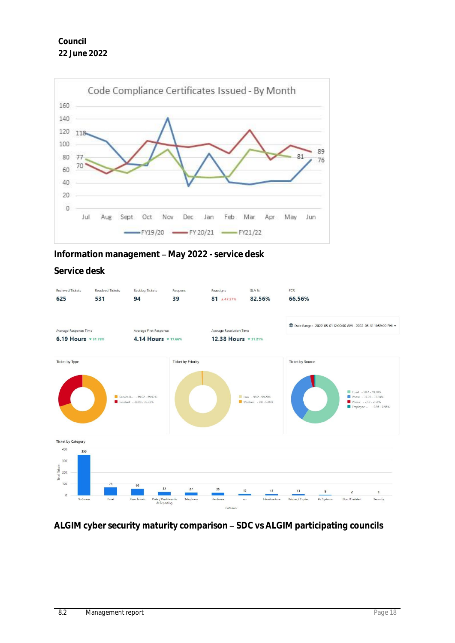

**Information management - May 2022 - service desk** 

#### **Service desk**



ALGIM cyber security maturity comparison - SDC vs ALGIM participating councils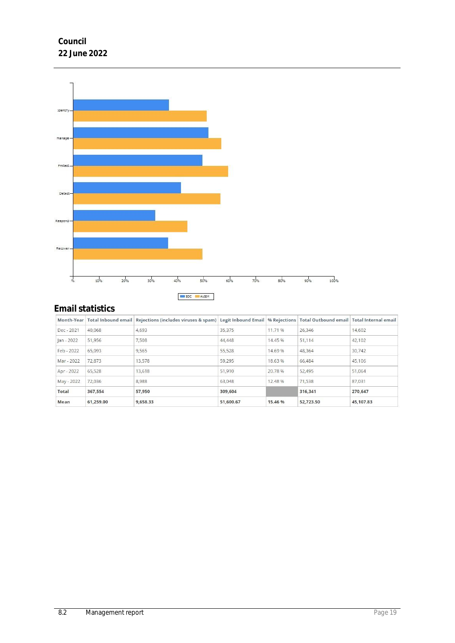



# **Email statistics**

|              |           | Month-Year   Total Inbound email   Rejections (includes viruses & spam)   Legit Inbound Email   % Rejections   Total Outbound email   Total Internal email |           |         |           |           |
|--------------|-----------|------------------------------------------------------------------------------------------------------------------------------------------------------------|-----------|---------|-----------|-----------|
| Dec - 2021   | 40.068    | 4,693                                                                                                                                                      | 35,375    | 11.71 % | 26,346    | 14,602    |
| $lan - 2022$ | 51,956    | 7,508                                                                                                                                                      | 44,448    | 14.45 % | 51,114    | 42,102    |
| Feb - 2022   | 65.093    | 9.565                                                                                                                                                      | 55.528    | 14.69 % | 48.364    | 30.742    |
| Mar - 2022   | 72,873    | 13,578                                                                                                                                                     | 59,295    | 18.63 % | 66,484    | 45,106    |
| Apr - 2022   | 65,528    | 13.618                                                                                                                                                     | 51,910    | 20.78 % | 52,495    | 51.064    |
| May - 2022   | 72,036    | 8,988                                                                                                                                                      | 63,048    | 12.48 % | 71.538    | 87,031    |
| Total        | 367.554   | 57,950                                                                                                                                                     | 309,604   |         | 316.341   | 270.647   |
| Mean         | 61,259.00 | 9,658.33                                                                                                                                                   | 51,600.67 | 15.46 % | 52,723.50 | 45,107.83 |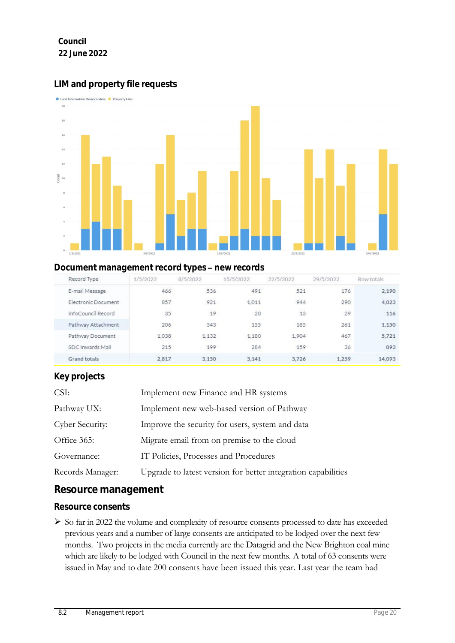# **LIM and property file requests**



### **Document management record types - new records**

| Record Type                | 1/5/2022 | 8/5/2022 | 15/5/2022 | 22/5/2022 | 29/5/2022 | Row totals |
|----------------------------|----------|----------|-----------|-----------|-----------|------------|
| E-mail Message             | 466      | 536      | 491       | 521       | 176       | 2,190      |
| <b>Electronic Document</b> | 857      | 921      | 1.011     | 944       | 290       | 4,023      |
| InfoCouncil Record         | 35       | 19       | 20        | 13        | 29        | 116        |
| Pathway Attachment         | 206      | 343      | 155       | 185       | 261       | 1.150      |
| Pathway Document           | 1.038    | 1.132    | 1.180     | 1.904     | 467       | 5.721      |
| SDC Inwards Mail           | 215      | 199      | 284       | 159       | 36        | 893        |
| Grand totals               | 2.817    | 3.150    | 3.141     | 3.726     | 1.259     | 14.093     |

#### **Key projects**

| Implement new Finance and HR systems                          |
|---------------------------------------------------------------|
| Implement new web-based version of Pathway                    |
| Improve the security for users, system and data               |
| Migrate email from on premise to the cloud                    |
| IT Policies, Processes and Procedures                         |
| Upgrade to latest version for better integration capabilities |
|                                                               |

### **Resource management**

#### **Resource consents**

 So far in 2022 the volume and complexity of resource consents processed to date has exceeded previous years and a number of large consents are anticipated to be lodged over the next few months. Two projects in the media currently are the Datagrid and the New Brighton coal mine which are likely to be lodged with Council in the next few months. A total of 63 consents were issued in May and to date 200 consents have been issued this year. Last year the team had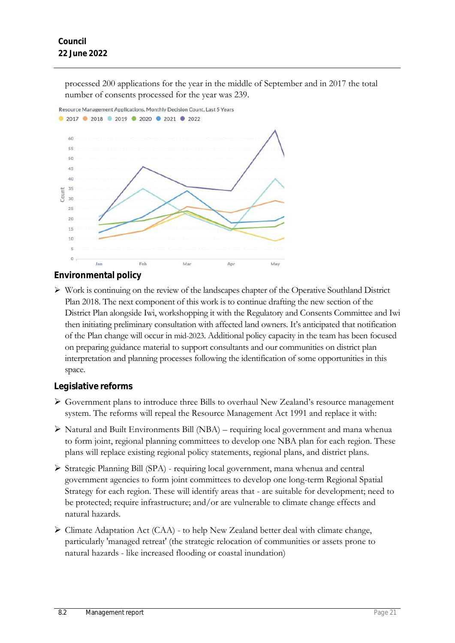processed 200 applications for the year in the middle of September and in 2017 the total number of consents processed for the year was 239.



### **Environmental policy**

 Work is continuing on the review of the landscapes chapter of the Operative Southland District Plan 2018. The next component of this work is to continue drafting the new section of the District Plan alongside Iwi, workshopping it with the Regulatory and Consents Committee and Iwi then initiating preliminary consultation with affected land owners. It's anticipated that notification of the Plan change will occur in mid-2023. Additional policy capacity in the team has been focused on preparing guidance material to support consultants and our communities on district plan interpretation and planning processes following the identification of some opportunities in this space.

### **Legislative reforms**

- Government plans to introduce three Bills to overhaul New Zealand's resource management system. The reforms will repeal the Resource Management Act 1991 and replace it with:
- $\triangleright$  Natural and Built Environments Bill (NBA) requiring local government and mana whenua to form joint, regional planning committees to develop one NBA plan for each region. These plans will replace existing regional policy statements, regional plans, and district plans.
- $\triangleright$  Strategic Planning Bill (SPA) requiring local government, mana whenua and central government agencies to form joint committees to develop one long-term Regional Spatial Strategy for each region. These will identify areas that - are suitable for development; need to be protected; require infrastructure; and/or are vulnerable to climate change effects and natural hazards.
- $\triangleright$  Climate Adaptation Act (CAA) to help New Zealand better deal with climate change, particularly 'managed retreat' (the strategic relocation of communities or assets prone to natural hazards - like increased flooding or coastal inundation)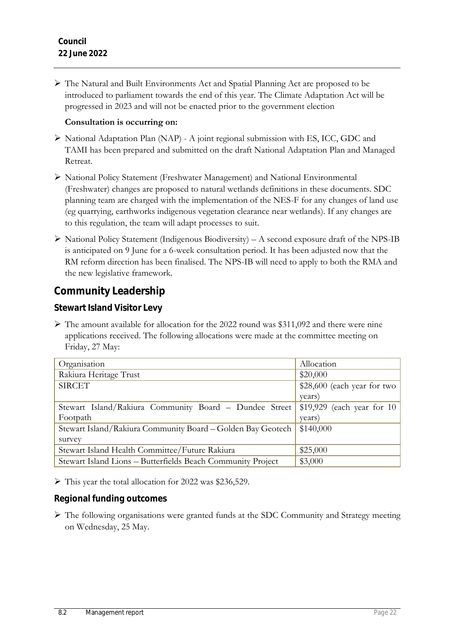The Natural and Built Environments Act and Spatial Planning Act are proposed to be introduced to parliament towards the end of this year. The Climate Adaptation Act will be progressed in 2023 and will not be enacted prior to the government election

#### **Consultation is occurring on:**

- National Adaptation Plan (NAP) A joint regional submission with ES, ICC, GDC and TAMI has been prepared and submitted on the draft National Adaptation Plan and Managed Retreat.
- National Policy Statement (Freshwater Management) and National Environmental (Freshwater) changes are proposed to natural wetlands definitions in these documents. SDC planning team are charged with the implementation of the NES-F for any changes of land use (eg quarrying, earthworks indigenous vegetation clearance near wetlands). If any changes are to this regulation, the team will adapt processes to suit.
- $\triangleright$  National Policy Statement (Indigenous Biodiversity) A second exposure draft of the NPS-IB is anticipated on 9 June for a 6-week consultation period. It has been adjusted now that the RM reform direction has been finalised. The NPS-IB will need to apply to both the RMA and the new legislative framework.

# **Community Leadership**

**Stewart Island Visitor Levy** 

 $\triangleright$  The amount available for allocation for the 2022 round was \$311,092 and there were nine applications received. The following allocations were made at the committee meeting on Friday, 27 May:

| Organisation                                                | Allocation                   |
|-------------------------------------------------------------|------------------------------|
| Rakiura Heritage Trust                                      | \$20,000                     |
| <b>SIRCET</b>                                               | $$28,600$ (each year for two |
|                                                             | years)                       |
| Stewart Island/Rakiura Community Board - Dundee Street      | $$19,929$ (each year for 10  |
| Footpath                                                    | years)                       |
| Stewart Island/Rakiura Community Board – Golden Bay Geotech | \$140,000                    |
| survey                                                      |                              |
| Stewart Island Health Committee/Future Rakiura              | \$25,000                     |
| Stewart Island Lions - Butterfields Beach Community Project | \$3,000                      |

 $\triangleright$  This year the total allocation for 2022 was \$236,529.

**Regional funding outcomes**

 The following organisations were granted funds at the SDC Community and Strategy meeting on Wednesday, 25 May.